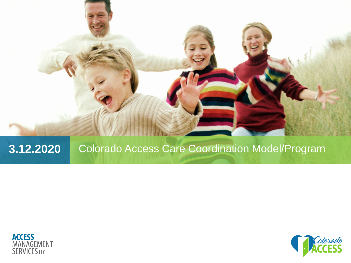

#### **3.12.2020** Colorado Access Care Coordination Model/Program



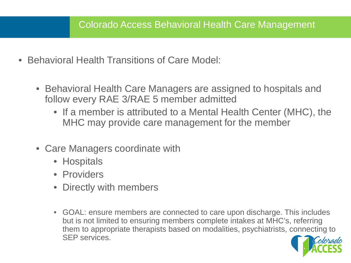- Behavioral Health Transitions of Care Model:
	- Behavioral Health Care Managers are assigned to hospitals and follow every RAE 3/RAE 5 member admitted
		- If a member is attributed to a Mental Health Center (MHC), the MHC may provide care management for the member
	- Care Managers coordinate with
		- Hospitals
		- Providers
		- Directly with members
		- GOAL: ensure members are connected to care upon discharge. This includes but is not limited to ensuring members complete intakes at MHC's, referring them to appropriate therapists based on modalities, psychiatrists, connecting to SEP services.

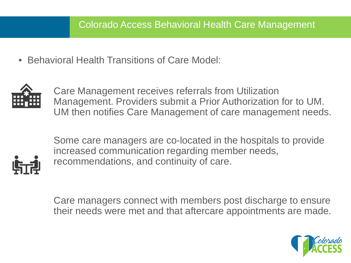• Behavioral Health Transitions of Care Model:



Care Management receives referrals from Utilization Management. Providers submit a Prior Authorization for to UM. UM then notifies Care Management of care management needs.



Some care managers are co-located in the hospitals to provide increased communication regarding member needs, recommendations, and continuity of care.

Care managers connect with members post discharge to ensure their needs were met and that aftercare appointments are made.

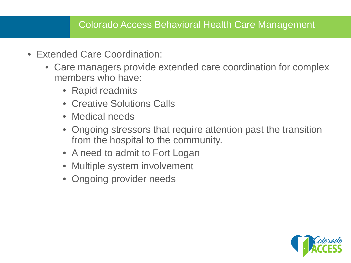#### Colorado Access Behavioral Health Care Management

- Extended Care Coordination:
	- Care managers provide extended care coordination for complex members who have:
		- Rapid readmits
		- Creative Solutions Calls
		- Medical needs
		- Ongoing stressors that require attention past the transition from the hospital to the community.
		- A need to admit to Fort Logan
		- Multiple system involvement
		- Ongoing provider needs

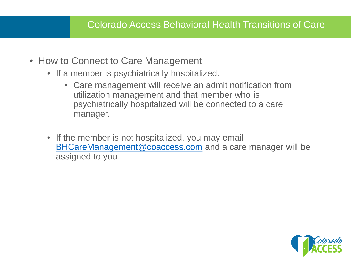- How to Connect to Care Management
	- If a member is psychiatrically hospitalized:
		- Care management will receive an admit notification from utilization management and that member who is psychiatrically hospitalized will be connected to a care manager.
	- If the member is not hospitalized, you may email [BHCareManagement@coaccess.com](mailto:BHCareManagement@coaccess.com) and a care manager will be assigned to you.

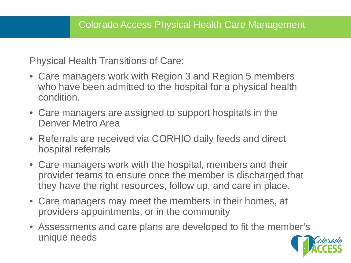Physical Health Transitions of Care:

- Care managers work with Region 3 and Region 5 members who have been admitted to the hospital for a physical health condition.
- Care managers are assigned to support hospitals in the Denver Metro Area
- Referrals are received via CORHIO daily feeds and direct hospital referrals
- Care managers work with the hospital, members and their provider teams to ensure once the member is discharged that they have the right resources, follow up, and care in place.
- Care managers may meet the members in their homes, at providers appointments, or in the community
- Assessments and care plans are developed to fit the member's unique needs

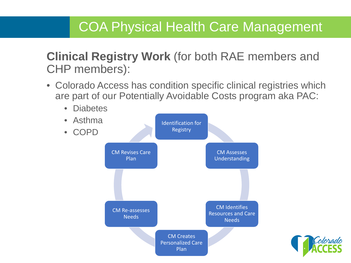# COA Physical Health Care Management

### **Clinical Registry Work** (for both RAE members and CHP members):

• Colorado Access has condition specific clinical registries which are part of our Potentially Avoidable Costs program aka PAC:



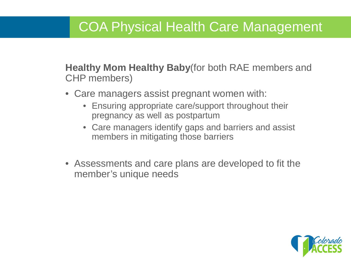# COA Physical Health Care Management

**Healthy Mom Healthy Baby**(for both RAE members and CHP members)

- Care managers assist pregnant women with:
	- Ensuring appropriate care/support throughout their pregnancy as well as postpartum
	- Care managers identify gaps and barriers and assist members in mitigating those barriers
- Assessments and care plans are developed to fit the member's unique needs

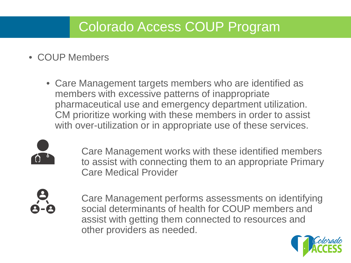# Colorado Access COUP Program

- COUP Members
	- Care Management targets members who are identified as members with excessive patterns of inappropriate pharmaceutical use and emergency department utilization. CM prioritize working with these members in order to assist with over-utilization or in appropriate use of these services.



Care Management works with these identified members to assist with connecting them to an appropriate Primary Care Medical Provider



Care Management performs assessments on identifying social determinants of health for COUP members and assist with getting them connected to resources and other providers as needed.

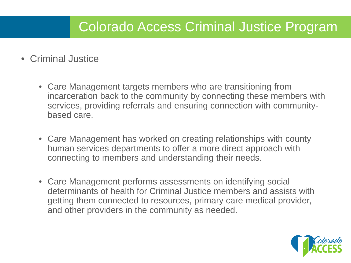# Colorado Access Criminal Justice Program

- Criminal Justice
	- Care Management targets members who are transitioning from incarceration back to the community by connecting these members with services, providing referrals and ensuring connection with communitybased care.
	- Care Management has worked on creating relationships with county human services departments to offer a more direct approach with connecting to members and understanding their needs.
	- Care Management performs assessments on identifying social determinants of health for Criminal Justice members and assists with getting them connected to resources, primary care medical provider, and other providers in the community as needed.

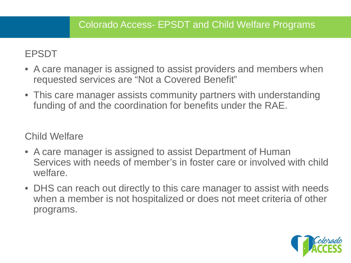#### EPSDT

- A care manager is assigned to assist providers and members when requested services are "Not a Covered Benefit"
- This care manager assists community partners with understanding funding of and the coordination for benefits under the RAE.

Child Welfare

- A care manager is assigned to assist Department of Human Services with needs of member's in foster care or involved with child welfare.
- DHS can reach out directly to this care manager to assist with needs when a member is not hospitalized or does not meet criteria of other programs.

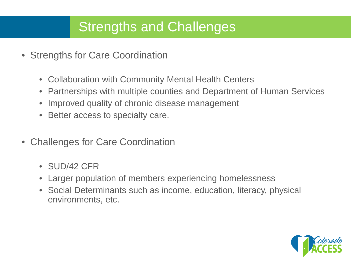# Strengths and Challenges

- Strengths for Care Coordination
	- Collaboration with Community Mental Health Centers
	- Partnerships with multiple counties and Department of Human Services
	- Improved quality of chronic disease management
	- Better access to specialty care.
- Challenges for Care Coordination
	- SUD/42 CFR
	- Larger population of members experiencing homelessness
	- Social Determinants such as income, education, literacy, physical environments, etc.

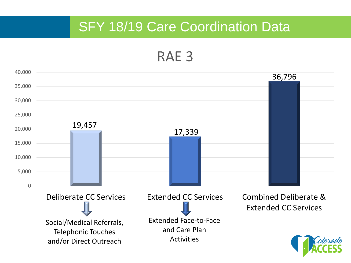## **SFY 18/19 Care Coordination Data**

RAE 3